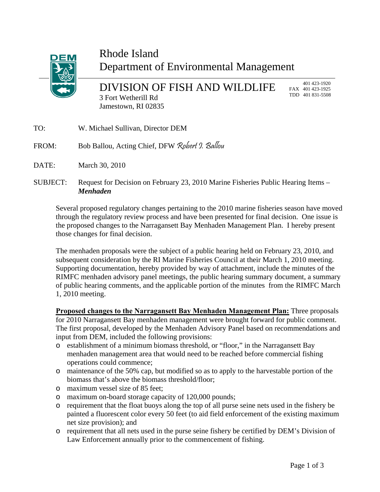

## Rhode Island Department of Environmental Management

DIVISION OF FISH AND WILDLIFE 3 Fort Wetherill Rd Jamestown, RI 02835

 401 423-1920 FAX 401 423-1925 TDD 401 831-5508

- TO: W. Michael Sullivan, Director DEM
- FROM: Bob Ballou, Acting Chief, DFW Robert 9. Ballou
- DATE: March 30, 2010
- SUBJECT: Request for Decision on February 23, 2010 Marine Fisheries Public Hearing Items *Menhaden*

Several proposed regulatory changes pertaining to the 2010 marine fisheries season have moved through the regulatory review process and have been presented for final decision. One issue is the proposed changes to the Narragansett Bay Menhaden Management Plan. I hereby present those changes for final decision.

The menhaden proposals were the subject of a public hearing held on February 23, 2010, and subsequent consideration by the RI Marine Fisheries Council at their March 1, 2010 meeting. Supporting documentation, hereby provided by way of attachment, include the minutes of the RIMFC menhaden advisory panel meetings, the public hearing summary document, a summary of public hearing comments, and the applicable portion of the minutes from the RIMFC March 1, 2010 meeting.

**Proposed changes to the Narragansett Bay Menhaden Management Plan:** Three proposals for 2010 Narragansett Bay menhaden management were brought forward for public comment. The first proposal, developed by the Menhaden Advisory Panel based on recommendations and input from DEM, included the following provisions:

- o establishment of a minimum biomass threshold, or "floor," in the Narragansett Bay menhaden management area that would need to be reached before commercial fishing operations could commence;
- o maintenance of the 50% cap, but modified so as to apply to the harvestable portion of the biomass that's above the biomass threshold/floor;
- o maximum vessel size of 85 feet;
- o maximum on-board storage capacity of 120,000 pounds;
- o requirement that the float buoys along the top of all purse seine nets used in the fishery be painted a fluorescent color every 50 feet (to aid field enforcement of the existing maximum net size provision); and
- o requirement that all nets used in the purse seine fishery be certified by DEM's Division of Law Enforcement annually prior to the commencement of fishing.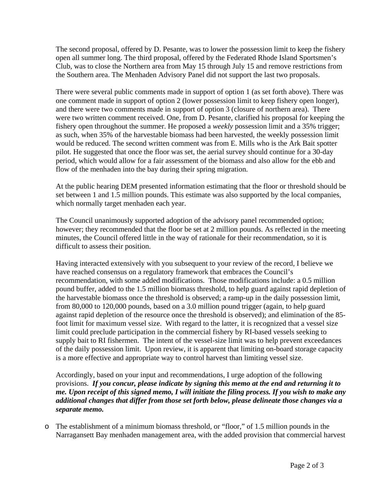The second proposal, offered by D. Pesante, was to lower the possession limit to keep the fishery open all summer long. The third proposal, offered by the Federated Rhode Island Sportsmen's Club, was to close the Northern area from May 15 through July 15 and remove restrictions from the Southern area. The Menhaden Advisory Panel did not support the last two proposals.

There were several public comments made in support of option 1 (as set forth above). There was one comment made in support of option 2 (lower possession limit to keep fishery open longer), and there were two comments made in support of option 3 (closure of northern area). There were two written comment received. One, from D. Pesante, clarified his proposal for keeping the fishery open throughout the summer. He proposed a *weekly* possession limit and a 35% trigger; as such, when 35% of the harvestable biomass had been harvested, the weekly possession limit would be reduced. The second written comment was from E. Mills who is the Ark Bait spotter pilot. He suggested that once the floor was set, the aerial survey should continue for a 30-day period, which would allow for a fair assessment of the biomass and also allow for the ebb and flow of the menhaden into the bay during their spring migration.

At the public hearing DEM presented information estimating that the floor or threshold should be set between 1 and 1.5 million pounds. This estimate was also supported by the local companies, which normally target menhaden each year.

The Council unanimously supported adoption of the advisory panel recommended option; however; they recommended that the floor be set at 2 million pounds. As reflected in the meeting minutes, the Council offered little in the way of rationale for their recommendation, so it is difficult to assess their position.

Having interacted extensively with you subsequent to your review of the record, I believe we have reached consensus on a regulatory framework that embraces the Council's recommendation, with some added modifications. Those modifications include: a 0.5 million pound buffer, added to the 1.5 million biomass threshold, to help guard against rapid depletion of the harvestable biomass once the threshold is observed; a ramp-up in the daily possession limit, from 80,000 to 120,000 pounds, based on a 3.0 million pound trigger (again, to help guard against rapid depletion of the resource once the threshold is observed); and elimination of the 85 foot limit for maximum vessel size. With regard to the latter, it is recognized that a vessel size limit could preclude participation in the commercial fishery by RI-based vessels seeking to supply bait to RI fishermen. The intent of the vessel-size limit was to help prevent exceedances of the daily possession limit. Upon review, it is apparent that limiting on-board storage capacity is a more effective and appropriate way to control harvest than limiting vessel size.

Accordingly, based on your input and recommendations, I urge adoption of the following provisions. *If you concur, please indicate by signing this memo at the end and returning it to me. Upon receipt of this signed memo, I will initiate the filing process. If you wish to make any additional changes that differ from those set forth below, please delineate those changes via a separate memo.* 

o The establishment of a minimum biomass threshold, or "floor," of 1.5 million pounds in the Narragansett Bay menhaden management area, with the added provision that commercial harvest